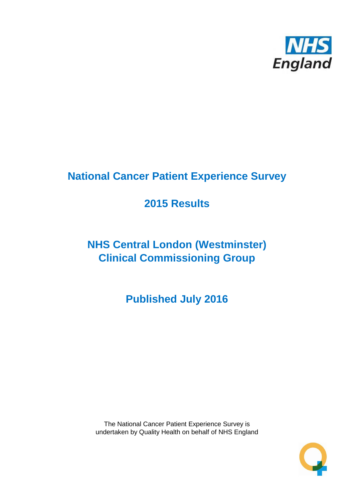

# **National Cancer Patient Experience Survey**

# **2015 Results**

# **NHS Central London (Westminster) Clinical Commissioning Group**

**Published July 2016**

The National Cancer Patient Experience Survey is undertaken by Quality Health on behalf of NHS England

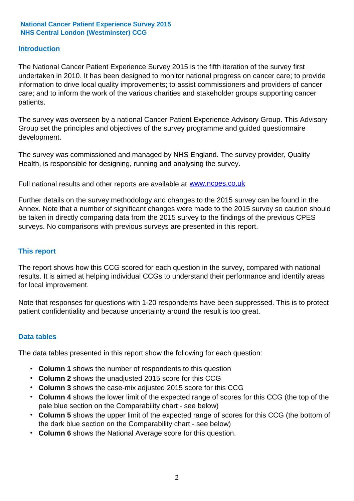### **Introduction**

The National Cancer Patient Experience Survey 2015 is the fifth iteration of the survey first undertaken in 2010. It has been designed to monitor national progress on cancer care; to provide information to drive local quality improvements; to assist commissioners and providers of cancer care; and to inform the work of the various charities and stakeholder groups supporting cancer patients.

The survey was overseen by a national Cancer Patient Experience Advisory Group. This Advisory Group set the principles and objectives of the survey programme and guided questionnaire development.

The survey was commissioned and managed by NHS England. The survey provider, Quality Health, is responsible for designing, running and analysing the survey.

Full national results and other reports are available at www.ncpes.co.uk

Further details on the survey methodology and changes to the 2015 survey can be found in the Annex. Note that a number of significant changes were made to the 2015 survey so caution should be taken in directly comparing data from the 2015 survey to the findings of the previous CPES surveys. No comparisons with previous surveys are presented in this report.

#### **This report**

The report shows how this CCG scored for each question in the survey, compared with national results. It is aimed at helping individual CCGs to understand their performance and identify areas for local improvement.

Note that responses for questions with 1-20 respondents have been suppressed. This is to protect patient confidentiality and because uncertainty around the result is too great.

#### **Data tables**

The data tables presented in this report show the following for each question:

- **Column 1** shows the number of respondents to this question
- **Column 2** shows the unadjusted 2015 score for this CCG
- **Column 3** shows the case-mix adjusted 2015 score for this CCG
- **Column 4** shows the lower limit of the expected range of scores for this CCG (the top of the pale blue section on the Comparability chart - see below)
- **Column 5** shows the upper limit of the expected range of scores for this CCG (the bottom of the dark blue section on the Comparability chart - see below)
- **Column 6** shows the National Average score for this question.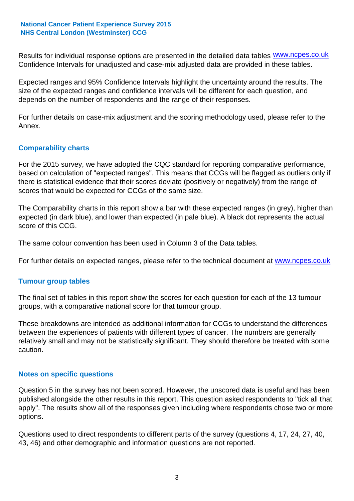Results for individual response options are presented in the detailed data tables **WWW.ncpes.co.uk** Confidence Intervals for unadjusted and case-mix adjusted data are provided in these tables.

Expected ranges and 95% Confidence Intervals highlight the uncertainty around the results. The size of the expected ranges and confidence intervals will be different for each question, and depends on the number of respondents and the range of their responses.

For further details on case-mix adjustment and the scoring methodology used, please refer to the Annex.

### **Comparability charts**

For the 2015 survey, we have adopted the CQC standard for reporting comparative performance, based on calculation of "expected ranges". This means that CCGs will be flagged as outliers only if there is statistical evidence that their scores deviate (positively or negatively) from the range of scores that would be expected for CCGs of the same size.

The Comparability charts in this report show a bar with these expected ranges (in grey), higher than expected (in dark blue), and lower than expected (in pale blue). A black dot represents the actual score of this CCG.

The same colour convention has been used in Column 3 of the Data tables.

For further details on expected ranges, please refer to the technical document at **www.ncpes.co.uk** 

#### **Tumour group tables**

The final set of tables in this report show the scores for each question for each of the 13 tumour groups, with a comparative national score for that tumour group.

These breakdowns are intended as additional information for CCGs to understand the differences between the experiences of patients with different types of cancer. The numbers are generally relatively small and may not be statistically significant. They should therefore be treated with some caution.

#### **Notes on specific questions**

Question 5 in the survey has not been scored. However, the unscored data is useful and has been published alongside the other results in this report. This question asked respondents to "tick all that apply". The results show all of the responses given including where respondents chose two or more options.

Questions used to direct respondents to different parts of the survey (questions 4, 17, 24, 27, 40, 43, 46) and other demographic and information questions are not reported.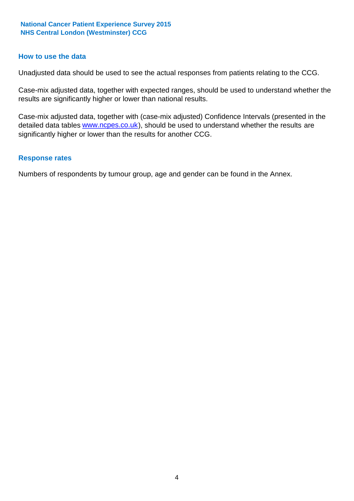#### **How to use the data**

Unadjusted data should be used to see the actual responses from patients relating to the CCG.

Case-mix adjusted data, together with expected ranges, should be used to understand whether the results are significantly higher or lower than national results.

Case-mix adjusted data, together with (case-mix adjusted) Confidence Intervals (presented in the detailed data tables **www.ncpes.co.uk**), should be used to understand whether the results are significantly higher or lower than the results for another CCG.

#### **Response rates**

Numbers of respondents by tumour group, age and gender can be found in the Annex.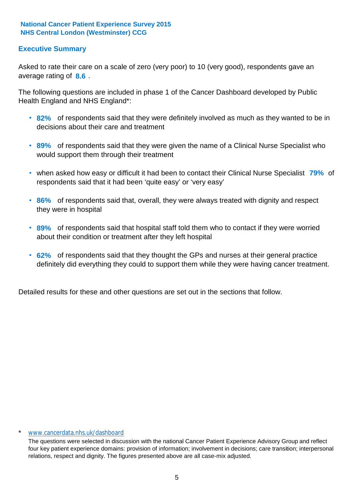# **Executive Summary**

average rating of 8.6. Asked to rate their care on a scale of zero (very poor) to 10 (very good), respondents gave an

The following questions are included in phase 1 of the Cancer Dashboard developed by Public Health England and NHS England\*:

- **82%** of respondents said that they were definitely involved as much as they wanted to be in decisions about their care and treatment
- **89%** of respondents said that they were given the name of a Clinical Nurse Specialist who would support them through their treatment
- when asked how easy or difficult it had been to contact their Clinical Nurse Specialist 79% of respondents said that it had been 'quite easy' or 'very easy'
- **86%** of respondents said that, overall, they were always treated with dignity and respect they were in hospital
- **89%** of respondents said that hospital staff told them who to contact if they were worried about their condition or treatment after they left hospital
- **62%** of respondents said that they thought the GPs and nurses at their general practice definitely did everything they could to support them while they were having cancer treatment.

Detailed results for these and other questions are set out in the sections that follow.

#### \* www.cancerdata.nhs.uk/dashboard

The questions were selected in discussion with the national Cancer Patient Experience Advisory Group and reflect four key patient experience domains: provision of information; involvement in decisions; care transition; interpersonal relations, respect and dignity. The figures presented above are all case-mix adjusted.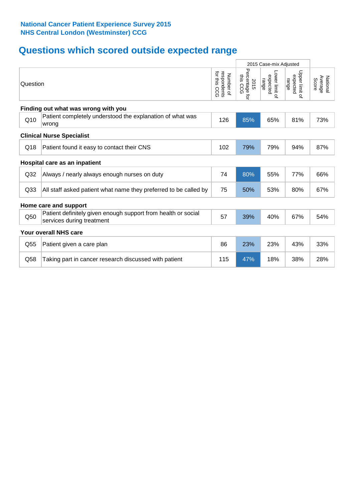# **Questions which scored outside expected range**

|                 |                                                                                            | 2015 Case-mix Adjusted |                                       |                                     |                                     |                              |
|-----------------|--------------------------------------------------------------------------------------------|------------------------|---------------------------------------|-------------------------------------|-------------------------------------|------------------------------|
| Question        |                                                                                            |                        | Percentage f<br>this CCG<br>2015<br>đ | Lower limit of<br>expected<br>range | Upper limit of<br>expected<br>range | Average<br>National<br>Score |
|                 | Finding out what was wrong with you                                                        |                        |                                       |                                     |                                     |                              |
| Q10             | Patient completely understood the explanation of what was<br>wrong                         | 126                    | 85%                                   | 65%                                 | 81%                                 | 73%                          |
|                 | <b>Clinical Nurse Specialist</b>                                                           |                        |                                       |                                     |                                     |                              |
| Q18             | Patient found it easy to contact their CNS                                                 | 102                    | 79%                                   | 79%                                 | 94%                                 | 87%                          |
|                 | Hospital care as an inpatient                                                              |                        |                                       |                                     |                                     |                              |
| Q <sub>32</sub> | Always / nearly always enough nurses on duty                                               | 74                     | 80%                                   | 55%                                 | 77%                                 | 66%                          |
| Q <sub>33</sub> | All staff asked patient what name they preferred to be called by                           | 75                     | 50%                                   | 53%                                 | 80%                                 | 67%                          |
|                 | Home care and support                                                                      |                        |                                       |                                     |                                     |                              |
| Q50             | Patient definitely given enough support from health or social<br>services during treatment | 57                     | 39%                                   | 40%                                 | 67%                                 | 54%                          |
|                 | Your overall NHS care                                                                      |                        |                                       |                                     |                                     |                              |
| Q55             | Patient given a care plan                                                                  | 86                     | 23%                                   | 23%                                 | 43%                                 | 33%                          |
| Q58             | Taking part in cancer research discussed with patient                                      | 115                    | 47%                                   | 18%                                 | 38%                                 | 28%                          |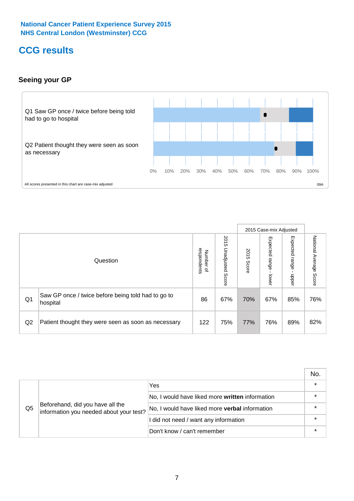# **CCG results**

# **Seeing your GP**



|    |                                                                |                                              |                             |               | 2015 Case-mix Adjusted     |                            |                           |
|----|----------------------------------------------------------------|----------------------------------------------|-----------------------------|---------------|----------------------------|----------------------------|---------------------------|
|    | Question                                                       | respondents<br>Number<br>$\overline{\sigma}$ | 2015<br>Unadjusted<br>Score | 2015<br>Score | Expected<br>range<br>lower | Expected<br>range<br>nbber | National Average<br>Score |
| Q1 | Saw GP once / twice before being told had to go to<br>hospital | 86                                           | 67%                         | 70%           | 67%                        | 85%                        | 76%                       |
| Q2 | Patient thought they were seen as soon as necessary            | 122                                          | 75%                         | 77%           | 76%                        | 89%                        | 82%                       |

|    |                                                                             |                                                 | No.     |
|----|-----------------------------------------------------------------------------|-------------------------------------------------|---------|
|    | Beforehand, did you have all the<br>information you needed about your test? | Yes                                             | $\star$ |
| Q5 |                                                                             | No, I would have liked more written information |         |
|    |                                                                             | No, I would have liked more verbal information  | *       |
|    |                                                                             | I did not need / want any information           | $\star$ |
|    |                                                                             | Don't know / can't remember                     |         |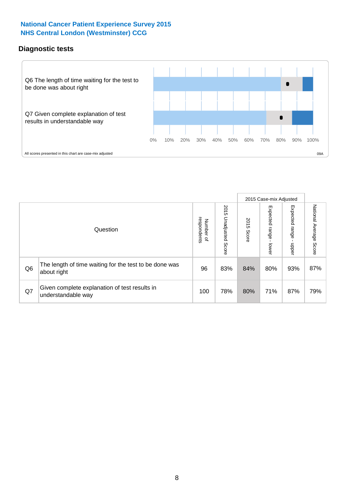# **Diagnostic tests**



|                |                                                                       |                                       |                             |               | 2015 Case-mix Adjusted  |                           |                           |
|----------------|-----------------------------------------------------------------------|---------------------------------------|-----------------------------|---------------|-------------------------|---------------------------|---------------------------|
|                | Question                                                              | respondents<br>Number<br>$\mathbf{Q}$ | 2015<br>Unadjusted<br>Score | 2015<br>Score | Expected range<br>lower | Expected<br>ange<br>nbber | National Average<br>Score |
| Q <sub>6</sub> | The length of time waiting for the test to be done was<br>about right | 96                                    | 83%                         | 84%           | 80%                     | 93%                       | 87%                       |
| Q7             | Given complete explanation of test results in<br>understandable way   | 100                                   | 78%                         | 80%           | 71%                     | 87%                       | 79%                       |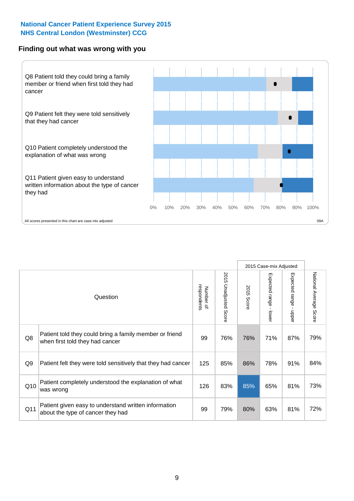#### **Finding out what was wrong with you**



|     |                                                                                            |                          |                             |               | 2015 Case-mix Adjusted |                                           |                           |
|-----|--------------------------------------------------------------------------------------------|--------------------------|-----------------------------|---------------|------------------------|-------------------------------------------|---------------------------|
|     | Question                                                                                   | respondents<br>Number of | 2015<br>Unadjusted<br>Score | 2015<br>Score | Expected range - lower | Expected range<br>$\blacksquare$<br>nbber | National Average<br>Score |
| Q8  | Patient told they could bring a family member or friend<br>when first told they had cancer | 99                       | 76%                         | 76%           | 71%                    | 87%                                       | 79%                       |
| Q9  | Patient felt they were told sensitively that they had cancer                               | 125                      | 85%                         | 86%           | 78%                    | 91%                                       | 84%                       |
| Q10 | Patient completely understood the explanation of what<br>was wrong                         | 126                      | 83%                         | 85%           | 65%                    | 81%                                       | 73%                       |
| Q11 | Patient given easy to understand written information<br>about the type of cancer they had  | 99                       | 79%                         | 80%           | 63%                    | 81%                                       | 72%                       |
|     |                                                                                            |                          |                             |               |                        |                                           |                           |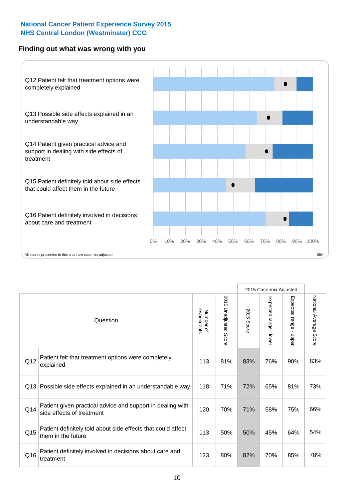### **Finding out what was wrong with you**



|          |                                                                                         |                          |                                 |               | 2015 Case-mix Adjusted                  |                           |                        |
|----------|-----------------------------------------------------------------------------------------|--------------------------|---------------------------------|---------------|-----------------------------------------|---------------------------|------------------------|
| Question |                                                                                         | Number of<br>respondents | 2015<br><b>Unadjusted Score</b> | 2015<br>Score | Expected range<br>$\mathbf{r}$<br>lower | Expected range<br>- nbbel | National Average Score |
| Q12      | Patient felt that treatment options were completely<br>explained                        | 113                      | 81%                             | 83%           | 76%                                     | 90%                       | 83%                    |
| Q13      | Possible side effects explained in an understandable way                                | 118                      | 71%                             | 72%           | 65%                                     | 81%                       | 73%                    |
| Q14      | Patient given practical advice and support in dealing with<br>side effects of treatment | 120                      | 70%                             | 71%           | 58%                                     | 75%                       | 66%                    |
| Q15      | Patient definitely told about side effects that could affect<br>them in the future      | 113                      | 50%                             | 50%           | 45%                                     | 64%                       | 54%                    |
| Q16      | Patient definitely involved in decisions about care and<br>treatment                    | 123                      | 80%                             | 82%           | 70%                                     | 85%                       | 78%                    |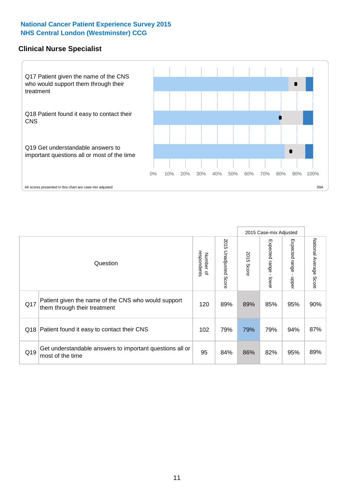### **Clinical Nurse Specialist**



|     |                                                                                     |                          |                       |               | 2015 Case-mix Adjusted       |                         |                        |
|-----|-------------------------------------------------------------------------------------|--------------------------|-----------------------|---------------|------------------------------|-------------------------|------------------------|
|     | Question                                                                            | respondents<br>Number of | 2015 Unadjusted Score | 2015<br>Score | Expected<br>l range<br>lower | Expected range<br>nbber | National Average Score |
| Q17 | Patient given the name of the CNS who would support<br>them through their treatment | 120                      | 89%                   | 89%           | 85%                          | 95%                     | 90%                    |
|     | Q18 Patient found it easy to contact their CNS                                      | 102                      | 79%                   | 79%           | 79%                          | 94%                     | 87%                    |
| Q19 | Get understandable answers to important questions all or<br>most of the time        | 95                       | 84%                   | 86%           | 82%                          | 95%                     | 89%                    |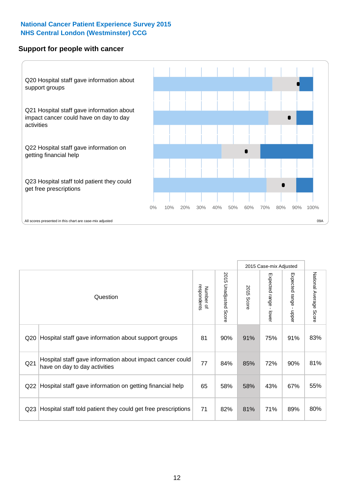#### **Support for people with cancer**



|                 |                                                                                            |                          |                                 |               | 2015 Case-mix Adjusted  |                                           |                        |
|-----------------|--------------------------------------------------------------------------------------------|--------------------------|---------------------------------|---------------|-------------------------|-------------------------------------------|------------------------|
|                 | Question                                                                                   | respondents<br>Number of | 2015<br><b>Unadjusted Score</b> | 2015<br>Score | Expected range<br>lower | Expected range<br>$\blacksquare$<br>nbber | National Average Score |
| Q20             | Hospital staff gave information about support groups                                       | 81                       | 90%                             | 91%           | 75%                     | 91%                                       | 83%                    |
| Q <sub>21</sub> | Hospital staff gave information about impact cancer could<br>have on day to day activities | 77                       | 84%                             | 85%           | 72%                     | 90%                                       | 81%                    |
| Q22             | Hospital staff gave information on getting financial help                                  | 65                       | 58%                             | 58%           | 43%                     | 67%                                       | 55%                    |
| Q <sub>23</sub> | Hospital staff told patient they could get free prescriptions                              | 71                       | 82%                             | 81%           | 71%                     | 89%                                       | 80%                    |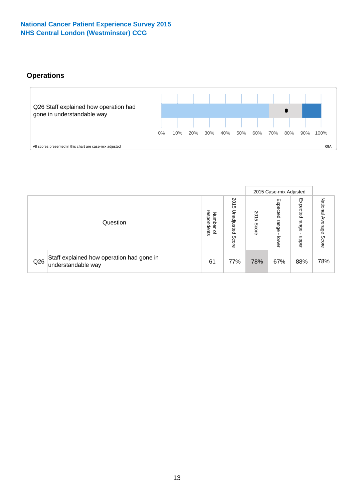# **Operations**



|     |                                                                 |                                              |                             |                   | 2015 Case-mix Adjusted     |                            |                              |
|-----|-----------------------------------------------------------------|----------------------------------------------|-----------------------------|-------------------|----------------------------|----------------------------|------------------------------|
|     | Question                                                        | respondents<br>Number<br>$\overline{\sigma}$ | 2015<br>Unadjusted<br>Score | 201<br>c<br>Score | Expected<br>range<br>lower | Expected<br>range<br>doper | National<br>Average<br>Score |
| Q26 | Staff explained how operation had gone in<br>understandable way | 61                                           | 77%                         | 78%               | 67%                        | 88%                        | 78%                          |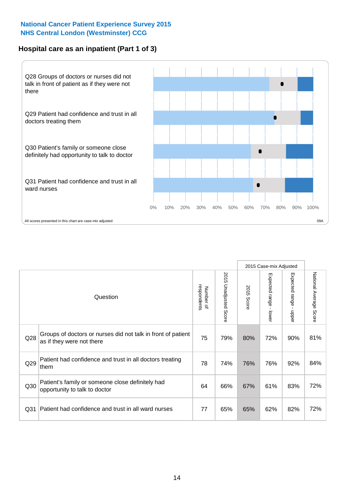# **Hospital care as an inpatient (Part 1 of 3)**



All scores presented in this chart are case-mix adjusted (99A) and the extent of the state of the state of the state of the state of the state of the state of the state of the state of the state and the state of the state

|                 |                                                                                           |                          |                          |                      |                                         | 2015 Case-mix Adjusted                  |                        |
|-----------------|-------------------------------------------------------------------------------------------|--------------------------|--------------------------|----------------------|-----------------------------------------|-----------------------------------------|------------------------|
|                 | Question                                                                                  | respondents<br>Number of | 2015<br>Unadjusted Score | 2015<br><b>Score</b> | Expected range<br>$\mathbf{r}$<br>lower | Expected range<br>$\mathbf{I}$<br>hbber | National Average Score |
| Q28             | Groups of doctors or nurses did not talk in front of patient<br>as if they were not there | 75                       | 79%                      | 80%                  | 72%                                     | 90%                                     | 81%                    |
| Q29             | Patient had confidence and trust in all doctors treating<br>≀them                         | 78                       | 74%                      | 76%                  | 76%                                     | 92%                                     | 84%                    |
| Q30             | Patient's family or someone close definitely had<br>opportunity to talk to doctor         | 64                       | 66%                      | 67%                  | 61%                                     | 83%                                     | 72%                    |
| Q <sub>31</sub> | Patient had confidence and trust in all ward nurses                                       | 77                       | 65%                      | 65%                  | 62%                                     | 82%                                     | 72%                    |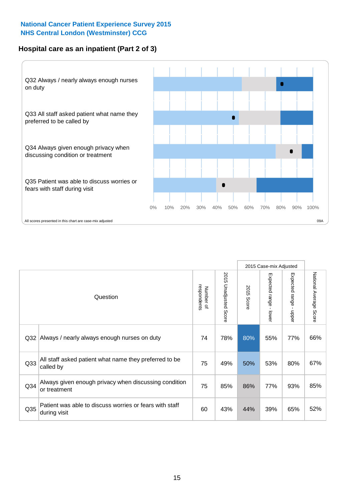# **Hospital care as an inpatient (Part 2 of 3)**



|                 |                                                                         |                          |                                 |                      | 2015 Case-mix Adjusted                       |                           |                        |
|-----------------|-------------------------------------------------------------------------|--------------------------|---------------------------------|----------------------|----------------------------------------------|---------------------------|------------------------|
|                 | Question                                                                | respondents<br>Number of | 2015<br><b>Unadjusted Score</b> | 2015<br><b>Score</b> | Expected<br>I range<br>$\mathbf{I}$<br>lower | Expected range<br>- nbbel | National Average Score |
| Q <sub>32</sub> | Always / nearly always enough nurses on duty                            | 74                       | 78%                             | 80%                  | 55%                                          | 77%                       | 66%                    |
| Q <sub>33</sub> | All staff asked patient what name they preferred to be<br>called by     | 75                       | 49%                             | 50%                  | 53%                                          | 80%                       | 67%                    |
| Q34             | Always given enough privacy when discussing condition<br>or treatment   | 75                       | 85%                             | 86%                  | 77%                                          | 93%                       | 85%                    |
| Q35             | Patient was able to discuss worries or fears with staff<br>during visit | 60                       | 43%                             | 44%                  | 39%                                          | 65%                       | 52%                    |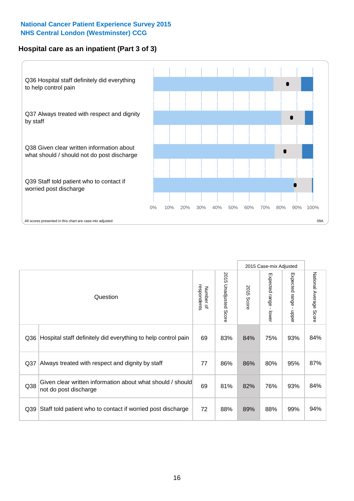# **Hospital care as an inpatient (Part 3 of 3)**



|     |                                                                                     |                          |                       |            | 2015 Case-mix Adjusted |                                         |                           |
|-----|-------------------------------------------------------------------------------------|--------------------------|-----------------------|------------|------------------------|-----------------------------------------|---------------------------|
|     | Question                                                                            | Number of<br>respondents | 2015 Unadjusted Score | 2015 Score | Expected range - lower | Expected range<br>$\mathbf{r}$<br>nbber | National Average<br>Score |
| Q36 | Hospital staff definitely did everything to help control pain                       | 69                       | 83%                   | 84%        | 75%                    | 93%                                     | 84%                       |
| Q37 | Always treated with respect and dignity by staff                                    | 77                       | 86%                   | 86%        | 80%                    | 95%                                     | 87%                       |
| Q38 | Given clear written information about what should / should<br>not do post discharge | 69                       | 81%                   | 82%        | 76%                    | 93%                                     | 84%                       |
| Q39 | Staff told patient who to contact if worried post discharge                         | 72                       | 88%                   | 89%        | 88%                    | 99%                                     | 94%                       |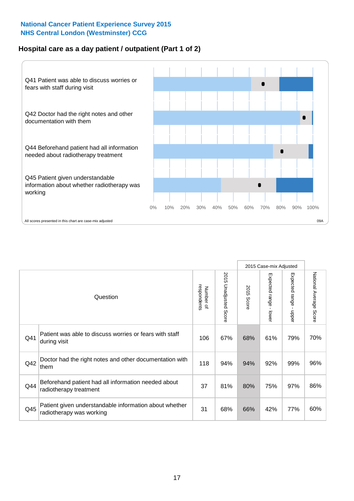# **Hospital care as a day patient / outpatient (Part 1 of 2)**



|     |                                                                                    |                          |                                 |                      | 2015 Case-mix Adjusted                  |                                         |                        |
|-----|------------------------------------------------------------------------------------|--------------------------|---------------------------------|----------------------|-----------------------------------------|-----------------------------------------|------------------------|
|     | Question                                                                           | respondents<br>Number of | 2015<br><b>Unadjusted Score</b> | 2015<br><b>Score</b> | Expected range<br>$\mathbf{r}$<br>lower | Expected range<br>$\mathbf{I}$<br>nbber | National Average Score |
| Q41 | Patient was able to discuss worries or fears with staff<br>during visit            | 106                      | 67%                             | 68%                  | 61%                                     | 79%                                     | 70%                    |
| Q42 | Doctor had the right notes and other documentation with<br>them                    | 118                      | 94%                             | 94%                  | 92%                                     | 99%                                     | 96%                    |
| Q44 | Beforehand patient had all information needed about<br>radiotherapy treatment      | 37                       | 81%                             | 80%                  | 75%                                     | 97%                                     | 86%                    |
| Q45 | Patient given understandable information about whether<br>radiotherapy was working | 31                       | 68%                             | 66%                  | 42%                                     | 77%                                     | 60%                    |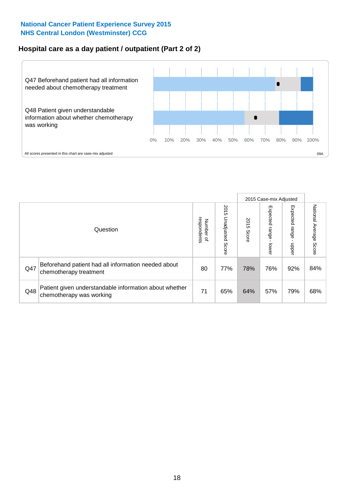# **Hospital care as a day patient / outpatient (Part 2 of 2)**



|     |                                                                                    |                                   |                             |               |                              | 2015 Case-mix Adjusted  |                           |
|-----|------------------------------------------------------------------------------------|-----------------------------------|-----------------------------|---------------|------------------------------|-------------------------|---------------------------|
|     | Question                                                                           | respondents<br>Number<br>$\Omega$ | 2015<br>Unadjusted<br>Score | 2015<br>Score | Expected<br>I range<br>lower | Expected range<br>nbber | National Average<br>Score |
| Q47 | Beforehand patient had all information needed about<br>chemotherapy treatment      | 80                                | 77%                         | 78%           | 76%                          | 92%                     | 84%                       |
| Q48 | Patient given understandable information about whether<br>chemotherapy was working | 71                                | 65%                         | 64%           | 57%                          | 79%                     | 68%                       |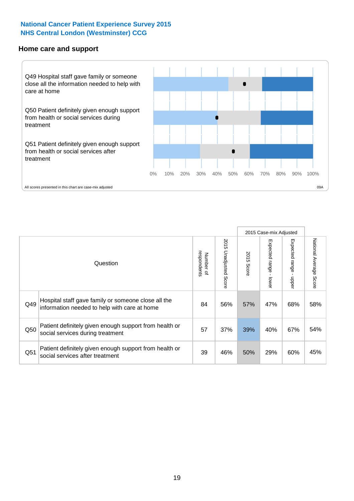#### **Home care and support**



2015 Case-mix Adjusted 2015 Unadjusted Score Expected range - upper National Average Score 2015 Unadjusted Score Expected range - lower National Average Score Expected range - lower Expected range - upper Number of<br>respondents respondents 2015 Score 2015 Score Number of Question Hospital staff gave family or someone close all the  $Q49$  information needed to help with care at home  $Q49$  56% 57% 47% 68% 58% Patient definitely given enough support from health or Q50 social services during treatment 6. [2010] Social services during treatment Patient definitely given enough support from health or  $\frac{39}{\sqrt{30}}$  |  $\frac{46\%}{\sqrt{30}}$   $\frac{50\%}{\sqrt{30}}$   $\frac{29\%}{\sqrt{60\%}}$   $\frac{45\%}{\sqrt{45\%}}$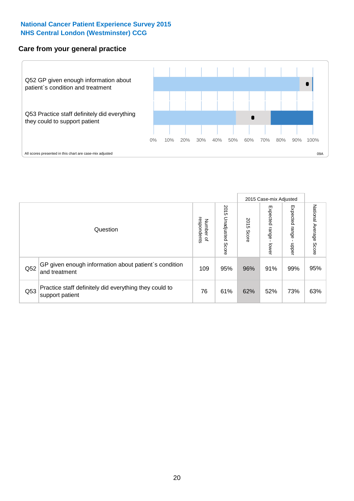### **Care from your general practice**



|     |                                                                           |                                       |                             |               |                                   | 2015 Case-mix Adjusted     |                           |
|-----|---------------------------------------------------------------------------|---------------------------------------|-----------------------------|---------------|-----------------------------------|----------------------------|---------------------------|
|     | Question                                                                  | respondents<br>Number<br>$\mathbf{Q}$ | 2015<br>Unadjusted<br>Score | 2015<br>Score | Expected<br><b>Lange</b><br>lower | Expected<br>range<br>doper | National Average<br>Score |
| Q52 | GP given enough information about patient's condition<br>and treatment    | 109                                   | 95%                         | 96%           | 91%                               | 99%                        | 95%                       |
| Q53 | Practice staff definitely did everything they could to<br>support patient | 76                                    | 61%                         | 62%           | 52%                               | 73%                        | 63%                       |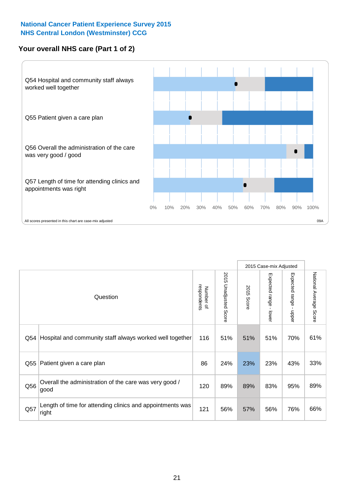# **Your overall NHS care (Part 1 of 2)**



|     |                                                                    |                          |                       |                      | 2015 Case-mix Adjusted                    |                                           |                        |
|-----|--------------------------------------------------------------------|--------------------------|-----------------------|----------------------|-------------------------------------------|-------------------------------------------|------------------------|
|     | Question                                                           | respondents<br>Number of | 2015 Unadjusted Score | 2015<br><b>Score</b> | Expected range<br>$\blacksquare$<br>lower | Expected range<br>$\blacksquare$<br>nbber | National Average Score |
| Q54 | Hospital and community staff always worked well together           | 116                      | 51%                   | 51%                  | 51%                                       | 70%                                       | 61%                    |
| Q55 | Patient given a care plan                                          | 86                       | 24%                   | 23%                  | 23%                                       | 43%                                       | 33%                    |
| Q56 | Overall the administration of the care was very good /<br>good     | 120                      | 89%                   | 89%                  | 83%                                       | 95%                                       | 89%                    |
| Q57 | Length of time for attending clinics and appointments was<br>right | 121                      | 56%                   | 57%                  | 56%                                       | 76%                                       | 66%                    |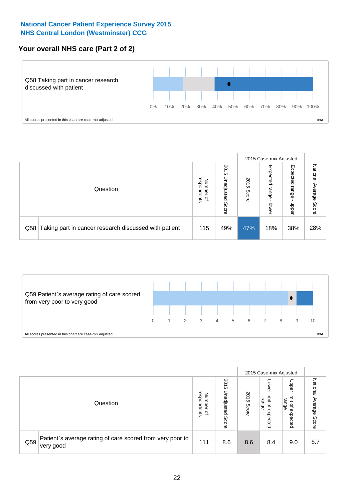# **Your overall NHS care (Part 2 of 2)**



|     |                                                       |                                         |                             |               |                            | 2015 Case-mix Adjusted     |                        |
|-----|-------------------------------------------------------|-----------------------------------------|-----------------------------|---------------|----------------------------|----------------------------|------------------------|
|     | Question                                              | respondents<br>Number<br>$\overline{a}$ | 2015<br>Jnadjusted<br>Score | 2015<br>Score | Expected<br>range<br>lower | Expected<br>range<br>doper | National Average Score |
| Q58 | Taking part in cancer research discussed with patient | 115                                     | 49%                         | 47%           | 18%                        | 38%                        | 28%                    |



|     |                                                                        |                                              |                             |               |                                                    | 2015 Case-mix Adjusted                                |                                     |
|-----|------------------------------------------------------------------------|----------------------------------------------|-----------------------------|---------------|----------------------------------------------------|-------------------------------------------------------|-------------------------------------|
|     | Question                                                               | respondents<br>Number<br>$\overline{\sigma}$ | 2015<br>Unadjusted<br>Score | 2015<br>Score | OWer<br>limit<br>range<br>$\mathbf{a}$<br>expected | Upper<br>limit<br>range<br>$\overline{a}$<br>expected | National<br>Average<br><b>Score</b> |
| Q59 | Patient's average rating of care scored from very poor to<br>very good | 111                                          | 8.6                         | 8.6           | 8.4                                                | 9.0                                                   | 8.7                                 |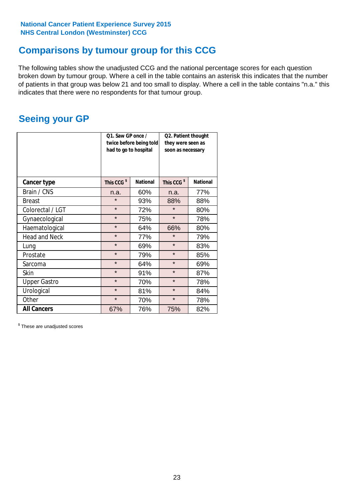# **Comparisons by tumour group for this CCG**

The following tables show the unadjusted CCG and the national percentage scores for each question broken down by tumour group. Where a cell in the table contains an asterisk this indicates that the number of patients in that group was below 21 and too small to display. Where a cell in the table contains "n.a." this indicates that there were no respondents for that tumour group.

# **Seeing your GP**

|                      | Q1. Saw GP once /<br>had to go to hospital | twice before being told | Q2. Patient thought<br>they were seen as<br>soon as necessary |                 |  |
|----------------------|--------------------------------------------|-------------------------|---------------------------------------------------------------|-----------------|--|
| <b>Cancer type</b>   | This CCG <sup>\$</sup>                     | <b>National</b>         | This CCG <sup>\$</sup>                                        | <b>National</b> |  |
| Brain / CNS          | n.a.                                       | 60%                     | n.a.                                                          | 77%             |  |
| <b>Breast</b>        | $\star$                                    | 93%                     | 88%                                                           | 88%             |  |
| Colorectal / LGT     | $\star$                                    | 72%                     | $\star$                                                       | 80%             |  |
| Gynaecological       | $\star$                                    | 75%                     | $\star$                                                       | 78%             |  |
| Haematological       | $\star$                                    | 64%                     | 66%                                                           | 80%             |  |
| <b>Head and Neck</b> | $\star$                                    | 77%                     | $\star$                                                       | 79%             |  |
| Lung                 | $\star$                                    | 69%                     | $\star$                                                       | 83%             |  |
| Prostate             | $\star$                                    | 79%                     | $\star$                                                       | 85%             |  |
| Sarcoma              | $\star$                                    | 64%                     | $\star$                                                       | 69%             |  |
| <b>Skin</b>          | $\star$                                    | 91%                     | $\star$                                                       | 87%             |  |
| <b>Upper Gastro</b>  | $\star$                                    | 70%                     | $\star$                                                       | 78%             |  |
| Urological           | $\star$                                    | 81%                     | $\star$                                                       | 84%             |  |
| Other                | $\star$                                    | 70%                     | $\star$                                                       | 78%             |  |
| <b>All Cancers</b>   | 67%                                        | 76%                     | 75%                                                           | 82%             |  |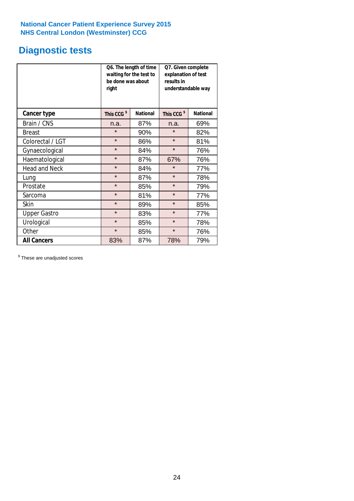# **Diagnostic tests**

|                      | be done was about<br>right | Q6. The length of time<br>waiting for the test to | Q7. Given complete<br>explanation of test<br>results in<br>understandable way |                 |  |
|----------------------|----------------------------|---------------------------------------------------|-------------------------------------------------------------------------------|-----------------|--|
| <b>Cancer type</b>   | This CCG <sup>\$</sup>     | <b>National</b>                                   | This CCG <sup>\$</sup>                                                        | <b>National</b> |  |
| Brain / CNS          | n.a.                       | 87%                                               | n.a.                                                                          | 69%             |  |
| <b>Breast</b>        | $\star$                    | 90%                                               | $\star$                                                                       | 82%             |  |
| Colorectal / LGT     | $\star$                    | 86%                                               | $\star$                                                                       | 81%             |  |
| Gynaecological       | $\star$                    | 84%                                               | $\star$                                                                       | 76%             |  |
| Haematological       | $\star$                    | 87%                                               | 67%                                                                           | 76%             |  |
| <b>Head and Neck</b> | $\star$                    | 84%                                               | $\star$                                                                       | 77%             |  |
| Lung                 | $\star$                    | 87%                                               | $\star$                                                                       | 78%             |  |
| Prostate             | $\star$                    | 85%                                               | $\star$                                                                       | 79%             |  |
| Sarcoma              | $\star$                    | 81%                                               | $\star$                                                                       | 77%             |  |
| Skin                 | $\star$                    | 89%                                               | $\star$                                                                       | 85%             |  |
| <b>Upper Gastro</b>  | $\star$                    | 83%                                               | $\star$                                                                       | 77%             |  |
| Urological           | $\star$                    | 85%                                               | $\star$                                                                       | 78%             |  |
| Other                | $\star$                    | 85%                                               | $\star$                                                                       | 76%             |  |
| <b>All Cancers</b>   | 83%                        | 87%                                               | 78%                                                                           | 79%             |  |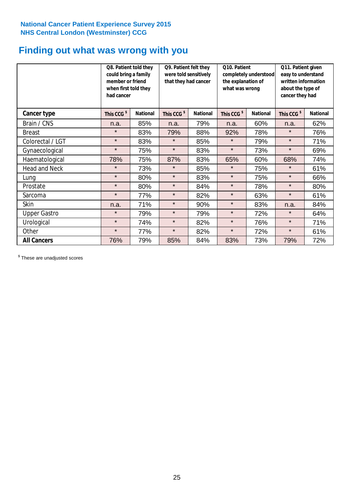# **Finding out what was wrong with you**

|                      | Q8. Patient told they<br>could bring a family<br>member or friend<br>when first told they<br>had cancer |                 | Q9. Patient felt they<br>were told sensitively<br>that they had cancer |                 | Q10. Patient<br>completely understood<br>the explanation of<br>what was wrong |                 | Q11. Patient given<br>easy to understand<br>written information<br>about the type of<br>cancer they had |                 |
|----------------------|---------------------------------------------------------------------------------------------------------|-----------------|------------------------------------------------------------------------|-----------------|-------------------------------------------------------------------------------|-----------------|---------------------------------------------------------------------------------------------------------|-----------------|
| Cancer type          | This CCG <sup>\$</sup>                                                                                  | <b>National</b> | This CCG <sup>\$</sup>                                                 | <b>National</b> | This CCG <sup>\$</sup>                                                        | <b>National</b> | This CCG <sup>\$</sup>                                                                                  | <b>National</b> |
| Brain / CNS          | n.a.                                                                                                    | 85%             | n.a.                                                                   | 79%             | n.a.                                                                          | 60%             | n.a.                                                                                                    | 62%             |
| <b>Breast</b>        | $\star$                                                                                                 | 83%             | 79%                                                                    | 88%             | 92%                                                                           | 78%             | $\star$                                                                                                 | 76%             |
| Colorectal / LGT     | $\star$                                                                                                 | 83%             | $\star$                                                                | 85%             | $\star$                                                                       | 79%             | $\star$                                                                                                 | 71%             |
| Gynaecological       | $\star$                                                                                                 | 75%             | $\star$                                                                | 83%             | $\star$                                                                       | 73%             | $\star$                                                                                                 | 69%             |
| Haematological       | 78%                                                                                                     | 75%             | 87%                                                                    | 83%             | 65%                                                                           | 60%             | 68%                                                                                                     | 74%             |
| <b>Head and Neck</b> | $\star$                                                                                                 | 73%             | $\star$                                                                | 85%             | $\star$                                                                       | 75%             | $\star$                                                                                                 | 61%             |
| Lung                 | $\star$                                                                                                 | 80%             | $\star$                                                                | 83%             | $\star$                                                                       | 75%             | $\star$                                                                                                 | 66%             |
| Prostate             | $\star$                                                                                                 | 80%             | $\star$                                                                | 84%             | $\star$                                                                       | 78%             | $\star$                                                                                                 | 80%             |
| Sarcoma              | $\star$                                                                                                 | 77%             | $\star$                                                                | 82%             | $\star$                                                                       | 63%             | $\star$                                                                                                 | 61%             |
| Skin                 | n.a.                                                                                                    | 71%             | $\star$                                                                | 90%             | $\star$                                                                       | 83%             | n.a.                                                                                                    | 84%             |
| <b>Upper Gastro</b>  | $\star$                                                                                                 | 79%             | $\star$                                                                | 79%             | $\star$                                                                       | 72%             | $\star$                                                                                                 | 64%             |
| Urological           | $\star$                                                                                                 | 74%             | $\star$                                                                | 82%             | $\star$                                                                       | 76%             | $\star$                                                                                                 | 71%             |
| Other                | $\star$                                                                                                 | 77%             | $\star$                                                                | 82%             | $\star$                                                                       | 72%             | $\star$                                                                                                 | 61%             |
| <b>All Cancers</b>   | 76%                                                                                                     | 79%             | 85%                                                                    | 84%             | 83%                                                                           | 73%             | 79%                                                                                                     | 72%             |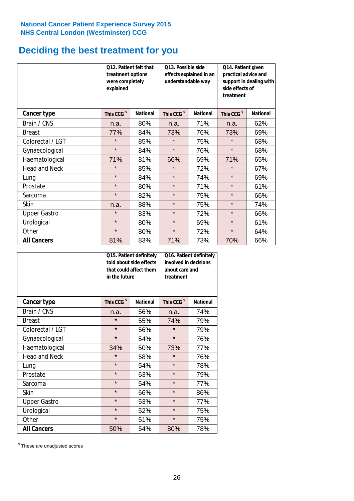# **Deciding the best treatment for you**

|                      | treatment options<br>were completely<br>explained | 012. Patient felt that | 013. Possible side<br>understandable way | effects explained in an | Q14. Patient given<br>practical advice and<br>support in dealing with<br>side effects of<br>treatment |                 |  |
|----------------------|---------------------------------------------------|------------------------|------------------------------------------|-------------------------|-------------------------------------------------------------------------------------------------------|-----------------|--|
| <b>Cancer type</b>   | This CCG <sup>\$</sup>                            | <b>National</b>        | This CCG <sup>\$</sup>                   | <b>National</b>         | This CCG <sup>\$</sup>                                                                                | <b>National</b> |  |
| Brain / CNS          | n.a.                                              | 80%                    | n.a.                                     | 71%                     | n.a.                                                                                                  | 62%             |  |
| <b>Breast</b>        | 77%                                               | 84%                    | 73%                                      | 76%                     | 73%                                                                                                   | 69%             |  |
| Colorectal / LGT     | $\star$                                           | 85%                    | $\star$                                  | 75%                     | $\star$                                                                                               | 68%             |  |
| Gynaecological       | $\star$                                           | 84%                    | $\star$                                  | 76%                     | $\star$                                                                                               | 68%             |  |
| Haematological       | 71%                                               | 81%                    | 66%                                      | 69%                     | 71%                                                                                                   | 65%             |  |
| <b>Head and Neck</b> | $\star$                                           | 85%                    | $\star$                                  | 72%                     | $\star$                                                                                               | 67%             |  |
| Lung                 | $\star$                                           | 84%                    | $\star$                                  | 74%                     | $\star$                                                                                               | 69%             |  |
| Prostate             | $\star$                                           | 80%                    | $\star$                                  | 71%                     | $\star$                                                                                               | 61%             |  |
| Sarcoma              | $\star$                                           | 82%                    | $\star$                                  | 75%                     | $\star$                                                                                               | 66%             |  |
| Skin                 | n.a.                                              | 88%                    | $\star$                                  | 75%                     | $\star$                                                                                               | 74%             |  |
| <b>Upper Gastro</b>  | $\star$                                           | 83%                    | $\star$                                  | 72%                     | $\star$                                                                                               | 66%             |  |
| Urological           | $\star$                                           | 80%                    | $\star$                                  | 69%                     | $\star$                                                                                               | 61%             |  |
| Other                | $\star$                                           | 80%                    | $\star$<br>72%                           |                         | $\star$                                                                                               | 64%             |  |
| <b>All Cancers</b>   | 81%                                               | 83%                    | 71%                                      | 73%                     | 70%                                                                                                   | 66%             |  |

|                      | in the future          | Q15. Patient definitely<br>told about side effects<br>that could affect them | Q16. Patient definitely<br>involved in decisions<br>about care and<br>treatment |                 |  |
|----------------------|------------------------|------------------------------------------------------------------------------|---------------------------------------------------------------------------------|-----------------|--|
| <b>Cancer type</b>   | This CCG <sup>\$</sup> | <b>National</b>                                                              | This CCG <sup>\$</sup>                                                          | <b>National</b> |  |
| Brain / CNS          | n.a.                   | 56%                                                                          | n.a.                                                                            | 74%             |  |
| <b>Breast</b>        | $\star$                | 55%                                                                          | 74%                                                                             | 79%             |  |
| Colorectal / LGT     | $\star$                | 56%                                                                          | $\star$                                                                         | 79%             |  |
| Gynaecological       | $\star$                | 54%                                                                          | $\star$                                                                         | 76%             |  |
| Haematological       | 34%                    | 50%                                                                          |                                                                                 | 77%             |  |
| <b>Head and Neck</b> | $\star$                | 58%                                                                          | $\star$                                                                         | 76%             |  |
| Lung                 | $\star$                | 54%                                                                          | $\star$                                                                         | 78%             |  |
| Prostate             | $\star$                | 63%                                                                          | $\star$                                                                         | 79%             |  |
| Sarcoma              | $\star$                | 54%                                                                          | $\star$                                                                         | 77%             |  |
| <b>Skin</b>          | $\star$                | 66%                                                                          | $\star$                                                                         | 86%             |  |
| <b>Upper Gastro</b>  | $\star$                | 53%                                                                          | $\star$                                                                         | 77%             |  |
| Urological           | $\star$                | 52%                                                                          | $\star$                                                                         | 75%             |  |
| Other                | $\star$                | 51%                                                                          | $\star$                                                                         | 75%             |  |
| <b>All Cancers</b>   | 50%                    | 54%                                                                          | 80%                                                                             | 78%             |  |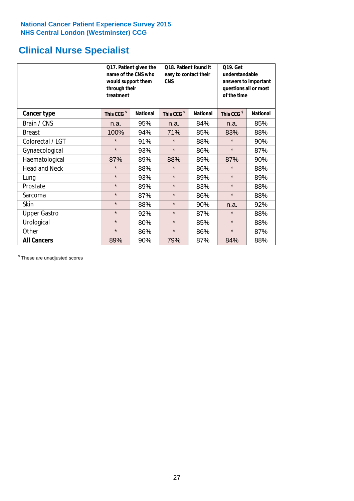# **Clinical Nurse Specialist**

|                      | would support them<br>through their<br>treatment | Q17. Patient given the<br>name of the CNS who | Q18. Patient found it<br>easy to contact their<br><b>CNS</b> |                 | <b>Q19. Get</b><br>understandable<br>answers to important<br>questions all or most<br>of the time |                 |  |
|----------------------|--------------------------------------------------|-----------------------------------------------|--------------------------------------------------------------|-----------------|---------------------------------------------------------------------------------------------------|-----------------|--|
| <b>Cancer type</b>   | This CCG <sup>\$</sup>                           | <b>National</b>                               | This CCG <sup>\$</sup>                                       | <b>National</b> | This CCG <sup>\$</sup>                                                                            | <b>National</b> |  |
| Brain / CNS          | n.a.                                             | 95%                                           | n.a.                                                         | 84%             | n.a.                                                                                              | 85%             |  |
| <b>Breast</b>        | 100%                                             | 94%                                           | 71%                                                          | 85%             | 83%                                                                                               | 88%             |  |
| Colorectal / LGT     | $\star$                                          | 91%                                           | $\star$                                                      | 88%             | $\star$                                                                                           | 90%             |  |
| Gynaecological       | $\star$                                          | 93%                                           | $\star$                                                      | 86%             | $\star$                                                                                           | 87%             |  |
| Haematological       | 87%                                              | 89%                                           | 88%                                                          | 89%             | 87%                                                                                               | 90%             |  |
| <b>Head and Neck</b> | $\star$                                          | 88%                                           | $\star$                                                      | 86%             | $\star$                                                                                           | 88%             |  |
| Lung                 | $\star$                                          | 93%                                           | $\star$                                                      | 89%             | $\star$                                                                                           | 89%             |  |
| Prostate             | $\star$                                          | 89%                                           | $\star$                                                      | 83%             | $\star$                                                                                           | 88%             |  |
| Sarcoma              | $\star$                                          | 87%                                           | $\star$                                                      | 86%             | $\star$                                                                                           | 88%             |  |
| Skin                 | $\star$                                          | 88%                                           | $\star$                                                      | 90%             | n.a.                                                                                              | 92%             |  |
| <b>Upper Gastro</b>  | $\star$                                          | 92%                                           | $\star$                                                      | 87%             | $\star$                                                                                           | 88%             |  |
| Urological           | $\star$                                          | 80%                                           | $\star$                                                      | 85%             | $\star$                                                                                           | 88%             |  |
| Other                | $\star$                                          | 86%                                           | $\star$                                                      | 86%             | $\star$                                                                                           | 87%             |  |
| <b>All Cancers</b>   | 89%                                              | 90%                                           | 79%                                                          | 87%             | 84%                                                                                               | 88%             |  |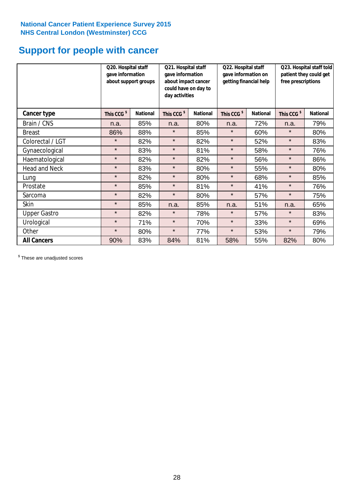# **Support for people with cancer**

|                      | Q20. Hospital staff<br>gave information | Q21. Hospital staff<br>gave information<br>about support groups<br>about impact cancer<br>could have on day to<br>day activities |                        |                 | Q22. Hospital staff<br>gave information on<br>getting financial help |                 | Q23. Hospital staff told<br>patient they could get<br>free prescriptions |                 |
|----------------------|-----------------------------------------|----------------------------------------------------------------------------------------------------------------------------------|------------------------|-----------------|----------------------------------------------------------------------|-----------------|--------------------------------------------------------------------------|-----------------|
| Cancer type          | This CCG <sup>\$</sup>                  | <b>National</b>                                                                                                                  | This CCG <sup>\$</sup> | <b>National</b> | This CCG <sup>\$</sup>                                               | <b>National</b> | This CCG <sup>\$</sup>                                                   | <b>National</b> |
| Brain / CNS          | n.a.                                    | 85%                                                                                                                              | n.a.                   | 80%             | n.a.                                                                 | 72%             | n.a.                                                                     | 79%             |
| <b>Breast</b>        | 86%                                     | 88%                                                                                                                              | $\star$                | 85%             | $\star$                                                              | 60%             | $\star$                                                                  | 80%             |
| Colorectal / LGT     | $\star$                                 | 82%                                                                                                                              | $\star$                | 82%             | $\star$                                                              | 52%             | $\star$                                                                  | 83%             |
| Gynaecological       | $\star$                                 | 83%                                                                                                                              | $\star$                | 81%             | $\star$                                                              | 58%             | $\star$                                                                  | 76%             |
| Haematological       | $\star$                                 | 82%                                                                                                                              | $\star$                | 82%             | $\star$                                                              | 56%             | $\star$                                                                  | 86%             |
| <b>Head and Neck</b> | $\star$                                 | 83%                                                                                                                              | $\star$                | 80%             | $\star$                                                              | 55%             | $\star$                                                                  | 80%             |
| Lung                 | $\star$                                 | 82%                                                                                                                              | $\star$                | 80%             | $\star$                                                              | 68%             | $\star$                                                                  | 85%             |
| Prostate             | $\star$                                 | 85%                                                                                                                              | $\star$                | 81%             | $\star$                                                              | 41%             | $\star$                                                                  | 76%             |
| Sarcoma              | $\star$                                 | 82%                                                                                                                              | $\star$                | 80%             | $\star$                                                              | 57%             | $\star$                                                                  | 75%             |
| Skin                 | $\star$                                 | 85%                                                                                                                              | n.a.                   | 85%             | n.a.                                                                 | 51%             | n.a.                                                                     | 65%             |
| <b>Upper Gastro</b>  | $\star$                                 | 82%                                                                                                                              | $\star$                | 78%             | $\star$                                                              | 57%             | $\star$                                                                  | 83%             |
| Urological           | $\star$                                 | 71%                                                                                                                              | $\star$                | 70%             | $\star$                                                              | 33%             | $\star$                                                                  | 69%             |
| Other                | $\star$                                 | 80%                                                                                                                              | $\star$                | 77%             | $\star$                                                              | 53%             | $\star$                                                                  | 79%             |
| <b>All Cancers</b>   | 90%                                     | 83%                                                                                                                              | 84%                    | 81%             | 58%                                                                  | 55%             | 82%                                                                      | 80%             |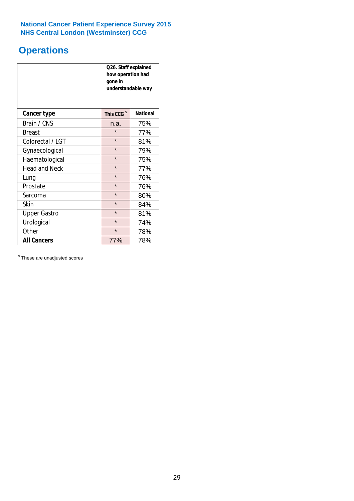# **Operations**

|                      | Q26. Staff explained<br>how operation had<br>gone in<br>understandable way |                 |  |  |  |
|----------------------|----------------------------------------------------------------------------|-----------------|--|--|--|
| <b>Cancer type</b>   | This CCG <sup>\$</sup>                                                     | <b>National</b> |  |  |  |
| Brain / CNS          | n.a.                                                                       | 75%             |  |  |  |
| <b>Breast</b>        | $\star$                                                                    | 77%             |  |  |  |
| Colorectal / LGT     | $\star$                                                                    | 81%             |  |  |  |
| Gynaecological       | $\star$                                                                    | 79%             |  |  |  |
| Haematological       | $\star$                                                                    | 75%             |  |  |  |
| <b>Head and Neck</b> | $\star$                                                                    | 77%             |  |  |  |
| Lung                 | $\star$                                                                    | 76%             |  |  |  |
| Prostate             | $\star$                                                                    | 76%             |  |  |  |
| Sarcoma              | $\star$                                                                    | 80%             |  |  |  |
| Skin                 | $\star$                                                                    | 84%             |  |  |  |
| <b>Upper Gastro</b>  | $\star$                                                                    | 81%             |  |  |  |
| Urological           | $\star$                                                                    | 74%             |  |  |  |
| Other                | $\star$                                                                    | 78%             |  |  |  |
| <b>All Cancers</b>   | 77%                                                                        | 78%             |  |  |  |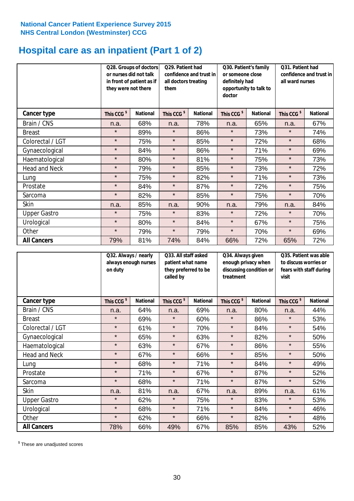# **Hospital care as an inpatient (Part 1 of 2)**

|                      |                        | Q28. Groups of doctors<br>Q29. Patient had<br>or nurses did not talk<br>confidence and trust in<br>in front of patient as if<br>all doctors treating<br>they were not there<br>them |                        |                 | Q30. Patient's family<br>or someone close<br>definitely had<br>doctor | opportunity to talk to | Q31. Patient had<br>confidence and trust in I<br>all ward nurses |                 |
|----------------------|------------------------|-------------------------------------------------------------------------------------------------------------------------------------------------------------------------------------|------------------------|-----------------|-----------------------------------------------------------------------|------------------------|------------------------------------------------------------------|-----------------|
| Cancer type          | This CCG <sup>\$</sup> | <b>National</b>                                                                                                                                                                     | This CCG <sup>\$</sup> | <b>National</b> | This CCG <sup>\$</sup>                                                | <b>National</b>        | This CCG <sup>\$</sup>                                           | <b>National</b> |
| Brain / CNS          | n.a.                   | 68%                                                                                                                                                                                 | n.a.                   | 78%             | n.a.                                                                  | 65%                    | n.a.                                                             | 67%             |
| <b>Breast</b>        | $\star$                | 89%                                                                                                                                                                                 | $\star$                | 86%             | $\star$                                                               | 73%                    | $\star$                                                          | 74%             |
| Colorectal / LGT     | $\star$                | 75%                                                                                                                                                                                 | $\star$                | 85%             | $\star$                                                               | 72%                    | $\star$                                                          | 68%             |
| Gynaecological       | $\star$                | 84%                                                                                                                                                                                 | $\star$                | 86%             | $\star$                                                               | 71%                    | $\star$                                                          | 69%             |
| Haematological       | $\star$                | 80%                                                                                                                                                                                 | $\star$                | 81%             | $\star$                                                               | 75%                    | $\star$                                                          | 73%             |
| <b>Head and Neck</b> | $\star$                | 79%                                                                                                                                                                                 | $\star$                | 85%             | $\star$                                                               | 73%                    | $\star$                                                          | 72%             |
| Lung                 | $\star$                | 75%                                                                                                                                                                                 | $\star$                | 82%             | $\star$                                                               | 71%                    | $\star$                                                          | 73%             |
| Prostate             | $\star$                | 84%                                                                                                                                                                                 | $\star$                | 87%             | $\star$                                                               | 72%                    | $\star$                                                          | 75%             |
| Sarcoma              | $\star$                | 82%                                                                                                                                                                                 | $\star$                | 85%             | $\star$                                                               | 75%                    | $\star$                                                          | 70%             |
| Skin                 | n.a.                   | 85%                                                                                                                                                                                 | n.a.                   | 90%             | n.a.                                                                  | 79%                    | n.a.                                                             | 84%             |
| <b>Upper Gastro</b>  | $\star$                | 75%                                                                                                                                                                                 | $\star$                | 83%             | $\star$                                                               | 72%                    | $\star$                                                          | 70%             |
| Urological           | $\star$                | 80%                                                                                                                                                                                 | $\star$                | 84%             | $\star$                                                               | 67%                    | $\star$                                                          | 75%             |
| Other                | $\star$                | 79%                                                                                                                                                                                 | $\star$                | 79%             | $\star$                                                               | 70%                    | $\star$                                                          | 69%             |
| <b>All Cancers</b>   | 79%                    | 81%                                                                                                                                                                                 | 74%                    | 84%             | 66%                                                                   | 72%                    | 65%                                                              | 72%             |

|                      | Q32. Always / nearly<br>always enough nurses<br>on duty |                 | Q33. All staff asked<br>patient what name<br>they preferred to be<br>called by |                 | Q34. Always given<br>enough privacy when<br>discussing condition or<br>treatment |                 | Q35. Patient was able<br>to discuss worries or<br>fears with staff during<br>visit |                 |
|----------------------|---------------------------------------------------------|-----------------|--------------------------------------------------------------------------------|-----------------|----------------------------------------------------------------------------------|-----------------|------------------------------------------------------------------------------------|-----------------|
| <b>Cancer type</b>   | This CCG <sup>\$</sup>                                  | <b>National</b> | This CCG <sup>\$</sup>                                                         | <b>National</b> | This CCG <sup>\$</sup>                                                           | <b>National</b> | This CCG <sup>\$</sup>                                                             | <b>National</b> |
| Brain / CNS          | n.a.                                                    | 64%             | n.a.                                                                           | 69%             | n.a.                                                                             | 80%             | n.a.                                                                               | 44%             |
| <b>Breast</b>        | $\star$                                                 | 69%             | $\star$                                                                        | 60%             | $\star$                                                                          | 86%             | $\star$                                                                            | 53%             |
| Colorectal / LGT     | $\star$                                                 | 61%             | $\star$                                                                        | 70%             | $\star$                                                                          | 84%             | $\star$                                                                            | 54%             |
| Gynaecological       | $\star$                                                 | 65%             | $\star$                                                                        | 63%             | $\star$                                                                          | 82%             | $\star$                                                                            | 50%             |
| Haematological       | $\star$                                                 | 63%             | $\star$                                                                        | 67%             | $\star$                                                                          | 86%             | $\star$                                                                            | 55%             |
| <b>Head and Neck</b> | $\star$                                                 | 67%             | $\star$                                                                        | 66%             | $\star$                                                                          | 85%             | $\star$                                                                            | 50%             |
| Lung                 | $\star$                                                 | 68%             | $\star$                                                                        | 71%             | $\star$                                                                          | 84%             | $\star$                                                                            | 49%             |
| Prostate             | $\star$                                                 | 71%             | $\star$                                                                        | 67%             | $\star$                                                                          | 87%             | $\star$                                                                            | 52%             |
| Sarcoma              | $\star$                                                 | 68%             | $\star$                                                                        | 71%             | $\star$                                                                          | 87%             | $\star$                                                                            | 52%             |
| Skin                 | n.a.                                                    | 81%             | n.a.                                                                           | 67%             | n.a.                                                                             | 89%             | n.a.                                                                               | 61%             |
| <b>Upper Gastro</b>  | $\star$                                                 | 62%             | $\star$                                                                        | 75%             | $\star$                                                                          | 83%             | $\star$                                                                            | 53%             |
| Urological           | $\star$                                                 | 68%             | $\star$                                                                        | 71%             | $\star$                                                                          | 84%             | $\star$                                                                            | 46%             |
| Other                | $\star$                                                 | 62%             | $\star$                                                                        | 66%             | $\star$                                                                          | 82%             | $\star$                                                                            | 48%             |
| <b>All Cancers</b>   | 78%                                                     | 66%             | 49%                                                                            | 67%             | 85%                                                                              | 85%             | 43%                                                                                | 52%             |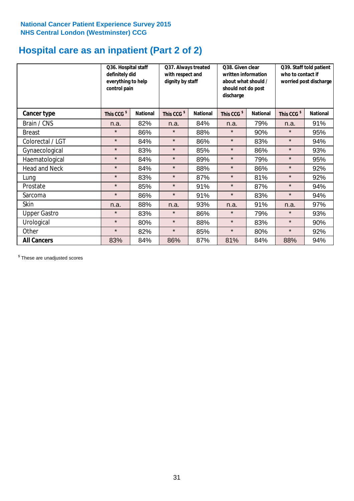# **Hospital care as an inpatient (Part 2 of 2)**

|                      | Q36. Hospital staff<br>definitely did<br>everything to help<br>control pain |                 | Q37. Always treated<br>with respect and<br>dignity by staff |                 | Q38. Given clear<br>written information<br>about what should /<br>should not do post<br>discharge |                 | Q39. Staff told patient<br>who to contact if<br>worried post discharge |                 |
|----------------------|-----------------------------------------------------------------------------|-----------------|-------------------------------------------------------------|-----------------|---------------------------------------------------------------------------------------------------|-----------------|------------------------------------------------------------------------|-----------------|
| Cancer type          | This CCG <sup>\$</sup>                                                      | <b>National</b> | This CCG <sup>\$</sup>                                      | <b>National</b> | This CCG <sup>\$</sup>                                                                            | <b>National</b> | This CCG <sup>\$</sup>                                                 | <b>National</b> |
| Brain / CNS          | n.a.                                                                        | 82%             | n.a.                                                        | 84%             | n.a.                                                                                              | 79%             | n.a.                                                                   | 91%             |
| <b>Breast</b>        | $\star$                                                                     | 86%             | $\star$                                                     | 88%             | $\star$                                                                                           | 90%             | $\star$                                                                | 95%             |
| Colorectal / LGT     | $\star$                                                                     | 84%             | $\star$                                                     | 86%             | $\star$                                                                                           | 83%             | $\star$                                                                | 94%             |
| Gynaecological       | $\star$                                                                     | 83%             | $\star$                                                     | 85%             | $\star$                                                                                           | 86%             | $\star$                                                                | 93%             |
| Haematological       | $\star$                                                                     | 84%             | $\star$                                                     | 89%             | $\star$                                                                                           | 79%             | $\star$                                                                | 95%             |
| <b>Head and Neck</b> | $\star$                                                                     | 84%             | $\star$                                                     | 88%             | $\star$                                                                                           | 86%             | $\star$                                                                | 92%             |
| Lung                 | $\star$                                                                     | 83%             | $\star$                                                     | 87%             | $\star$                                                                                           | 81%             | $\star$                                                                | 92%             |
| Prostate             | $\star$                                                                     | 85%             | $\star$                                                     | 91%             | $\star$                                                                                           | 87%             | $\star$                                                                | 94%             |
| Sarcoma              | $\star$                                                                     | 86%             | $\star$                                                     | 91%             | $\star$                                                                                           | 83%             | $\star$                                                                | 94%             |
| Skin                 | n.a.                                                                        | 88%             | n.a.                                                        | 93%             | n.a.                                                                                              | 91%             | n.a.                                                                   | 97%             |
| <b>Upper Gastro</b>  | $\star$                                                                     | 83%             | $\star$                                                     | 86%             | $\star$                                                                                           | 79%             | $\star$                                                                | 93%             |
| Urological           | $\star$                                                                     | 80%             | $\star$                                                     | 88%             | $\star$                                                                                           | 83%             | $\star$                                                                | 90%             |
| Other                | $\star$                                                                     | 82%             | $\star$                                                     | 85%             | $\star$                                                                                           | 80%             | $\star$                                                                | 92%             |
| <b>All Cancers</b>   | 83%                                                                         | 84%             | 86%                                                         | 87%             | 81%                                                                                               | 84%             | 88%                                                                    | 94%             |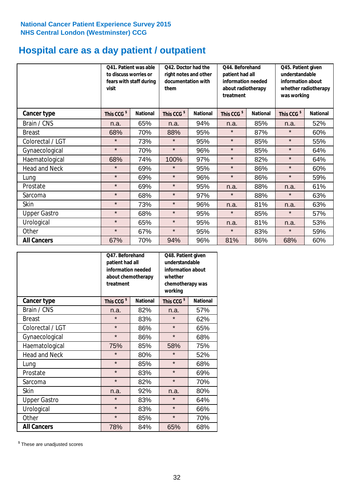# **Hospital care as a day patient / outpatient**

|                      | to discuss worries or<br>visit | Q41. Patient was able<br>fears with staff during | 042. Doctor had the<br>right notes and other<br>documentation with<br>them |                 | Q44. Beforehand<br>patient had all<br>information needed<br>about radiotherapy<br>treatment |                 | Q45. Patient given<br>understandable<br>information about<br>whether radiotherapy<br>was working |                 |
|----------------------|--------------------------------|--------------------------------------------------|----------------------------------------------------------------------------|-----------------|---------------------------------------------------------------------------------------------|-----------------|--------------------------------------------------------------------------------------------------|-----------------|
| Cancer type          | This CCG <sup>\$</sup>         | <b>National</b>                                  | This CCG <sup>\$</sup>                                                     | <b>National</b> | This CCG <sup>\$</sup>                                                                      | <b>National</b> | This CCG <sup>\$</sup>                                                                           | <b>National</b> |
| Brain / CNS          | n.a.                           | 65%                                              | n.a.                                                                       | 94%             | n.a.                                                                                        | 85%             | n.a.                                                                                             | 52%             |
| <b>Breast</b>        | 68%                            | 70%                                              | 88%                                                                        | 95%             | $\star$                                                                                     | 87%             | $\star$                                                                                          | 60%             |
| Colorectal / LGT     | $\star$                        | 73%                                              | $\star$                                                                    | 95%             | $\star$                                                                                     | 85%             | $\star$                                                                                          | 55%             |
| Gynaecological       | $\star$                        | 70%                                              | $\star$                                                                    | 96%             | $\star$                                                                                     | 85%             | $\star$                                                                                          | 64%             |
| Haematological       | 68%                            | 74%                                              | 100%                                                                       | 97%             | $\star$                                                                                     | 82%             | $\star$                                                                                          | 64%             |
| <b>Head and Neck</b> | $\star$                        | 69%                                              | $\star$                                                                    | 95%             | $\star$                                                                                     | 86%             | $\star$                                                                                          | 60%             |
| Lung                 | $\star$                        | 69%                                              | $\star$                                                                    | 96%             | $\star$                                                                                     | 86%             | $\star$                                                                                          | 59%             |
| Prostate             | $\star$                        | 69%                                              | $\star$                                                                    | 95%             | n.a.                                                                                        | 88%             | n.a.                                                                                             | 61%             |
| Sarcoma              | $\star$                        | 68%                                              | $\star$                                                                    | 97%             | $\star$                                                                                     | 88%             | $\star$                                                                                          | 63%             |
| Skin                 | $\star$                        | 73%                                              | $\star$                                                                    | 96%             | n.a.                                                                                        | 81%             | n.a.                                                                                             | 63%             |
| <b>Upper Gastro</b>  | $\star$                        | 68%                                              | $\star$                                                                    | 95%             | $\star$                                                                                     | 85%             | $\star$                                                                                          | 57%             |
| Urological           | $\star$                        | 65%                                              | $\star$                                                                    | 95%             | n.a.                                                                                        | 81%             | n.a.                                                                                             | 53%             |
| Other                | $\star$                        | 67%                                              | $\star$                                                                    | 95%             | $\star$                                                                                     | 83%             | $\star$                                                                                          | 59%             |
| <b>All Cancers</b>   | 67%                            | 70%                                              | 94%                                                                        | 96%             | 81%                                                                                         | 86%             | 68%                                                                                              | 60%             |

|                      | O47. Beforehand<br>patient had all<br>information needed<br>about chemotherapy<br>treatment |                 | Q48. Patient given<br>understandable<br>information about<br>whether<br>chemotherapy was<br>working |                 |  |
|----------------------|---------------------------------------------------------------------------------------------|-----------------|-----------------------------------------------------------------------------------------------------|-----------------|--|
| <b>Cancer type</b>   | This CCG <sup>\$</sup>                                                                      | <b>National</b> | This CCG <sup>\$</sup>                                                                              | <b>National</b> |  |
| Brain / CNS          | n.a.                                                                                        | 82%             | n.a.                                                                                                | 57%             |  |
| <b>Breast</b>        | $\star$                                                                                     | 83%             | $\star$                                                                                             | 62%             |  |
| Colorectal / LGT     | $\star$                                                                                     | 86%             | $\star$                                                                                             | 65%             |  |
| Gynaecological       | $\star$                                                                                     | 86%             | $\star$                                                                                             | 68%             |  |
| Haematological       | 75%                                                                                         | 85%             | 58%                                                                                                 | 75%             |  |
| <b>Head and Neck</b> | $\star$                                                                                     | 80%             | $\star$                                                                                             | 52%             |  |
| Lung                 | $\star$                                                                                     | 85%             | $\star$                                                                                             | 68%             |  |
| Prostate             | $\star$                                                                                     | 83%             | $\star$                                                                                             | 69%             |  |
| Sarcoma              | $\star$                                                                                     | 82%             | $\star$                                                                                             | 70%             |  |
| Skin                 | n.a.                                                                                        | 92%             | n.a.                                                                                                | 80%             |  |
| <b>Upper Gastro</b>  | $\star$                                                                                     | 83%             | $\star$                                                                                             | 64%             |  |
| Urological           | $\star$                                                                                     | 83%             |                                                                                                     | 66%             |  |
| Other                | $\star$                                                                                     | 85%             | $\star$                                                                                             | 70%             |  |
| <b>All Cancers</b>   | 78%                                                                                         | 84%             | 65%                                                                                                 | 68%             |  |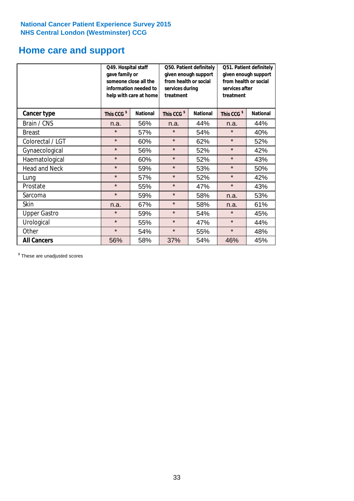# **Home care and support**

|                      | Q49. Hospital staff<br>gave family or                               | someone close all the<br>information needed to<br>help with care at home | Q50. Patient definitely<br>given enough support<br>from health or social<br>services during<br>treatment<br><b>National</b> |                 | Q51. Patient definitely<br>given enough support<br>from health or social<br>services after<br>treatment |     |
|----------------------|---------------------------------------------------------------------|--------------------------------------------------------------------------|-----------------------------------------------------------------------------------------------------------------------------|-----------------|---------------------------------------------------------------------------------------------------------|-----|
| <b>Cancer type</b>   | This CCG <sup>\$</sup><br>This CCG <sup>\$</sup><br><b>National</b> |                                                                          | This CCG <sup>\$</sup>                                                                                                      | <b>National</b> |                                                                                                         |     |
| Brain / CNS          | n.a.                                                                | 56%                                                                      | n.a.                                                                                                                        | 44%             | n.a.                                                                                                    | 44% |
| <b>Breast</b>        | $\star$                                                             | 57%                                                                      | $\star$                                                                                                                     | 54%             | $\star$                                                                                                 | 40% |
| Colorectal / LGT     | $\star$                                                             | 60%                                                                      | $\star$                                                                                                                     | 62%             | $\star$                                                                                                 | 52% |
| Gynaecological       | $\star$                                                             | 56%                                                                      | $\star$                                                                                                                     | 52%             | $\star$                                                                                                 | 42% |
| Haematological       | $\star$                                                             | 60%                                                                      | $\star$                                                                                                                     | 52%             | $\star$                                                                                                 | 43% |
| <b>Head and Neck</b> | $\star$                                                             | 59%                                                                      | $\star$                                                                                                                     | 53%             | $\star$                                                                                                 | 50% |
| Lung                 | $\star$                                                             | 57%                                                                      | $\star$                                                                                                                     | 52%             | $\star$                                                                                                 | 42% |
| Prostate             | $\star$                                                             | 55%                                                                      | $\star$                                                                                                                     | 47%             | $\star$                                                                                                 | 43% |
| Sarcoma              | $\star$                                                             | 59%                                                                      | $\star$                                                                                                                     | 58%             | n.a.                                                                                                    | 53% |
| Skin                 | n.a.                                                                | 67%                                                                      | $\star$                                                                                                                     | 58%             | n.a.                                                                                                    | 61% |
| <b>Upper Gastro</b>  | $\star$                                                             | 59%                                                                      | $\star$                                                                                                                     | 54%             | $\star$                                                                                                 | 45% |
| Urological           | $\star$                                                             | 55%                                                                      | $\star$                                                                                                                     | 47%             | $\star$                                                                                                 | 44% |
| Other                | $\star$                                                             | 54%                                                                      | $\star$                                                                                                                     | 55%             | $\star$                                                                                                 | 48% |
| <b>All Cancers</b>   | 56%                                                                 | 58%                                                                      | 37%                                                                                                                         | 54%             | 46%                                                                                                     | 45% |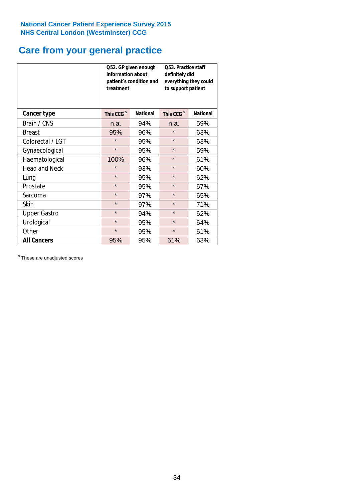# **Care from your general practice**

|                      | information about<br>treatment | Q52. GP given enough<br>patient's condition and | <b>O53. Practice staff</b><br>definitely did<br>everything they could<br>to support patient |                 |  |
|----------------------|--------------------------------|-------------------------------------------------|---------------------------------------------------------------------------------------------|-----------------|--|
| <b>Cancer type</b>   | This CCG <sup>\$</sup>         | <b>National</b>                                 | This CCG <sup>\$</sup>                                                                      | <b>National</b> |  |
| Brain / CNS          | n.a.                           | 94%                                             | n.a.                                                                                        | 59%             |  |
| <b>Breast</b>        | 95%                            | 96%                                             | $\star$                                                                                     | 63%             |  |
| Colorectal / LGT     | $\star$                        | 95%                                             | $\star$                                                                                     | 63%             |  |
| Gynaecological       | $\star$                        | 95%                                             | $\star$                                                                                     | 59%             |  |
| Haematological       | 100%                           | 96%                                             | $\star$                                                                                     | 61%             |  |
| <b>Head and Neck</b> | $\star$                        | 93%                                             | $\star$                                                                                     | 60%             |  |
| Lung                 | $\star$                        | 95%                                             | $\star$                                                                                     | 62%             |  |
| Prostate             | $\star$                        | 95%                                             | $\star$                                                                                     | 67%             |  |
| Sarcoma              | $\star$                        | 97%                                             | $\star$                                                                                     | 65%             |  |
| <b>Skin</b>          | $\star$                        | 97%                                             | $\star$                                                                                     | 71%             |  |
| <b>Upper Gastro</b>  | $\star$                        | 94%                                             | $\star$                                                                                     | 62%             |  |
| Urological           | $\star$                        | 95%                                             | $\star$                                                                                     | 64%             |  |
| Other                | $\star$                        | 95%                                             | $\star$                                                                                     | 61%             |  |
| <b>All Cancers</b>   | 95%                            | 95%                                             | 61%                                                                                         | 63%             |  |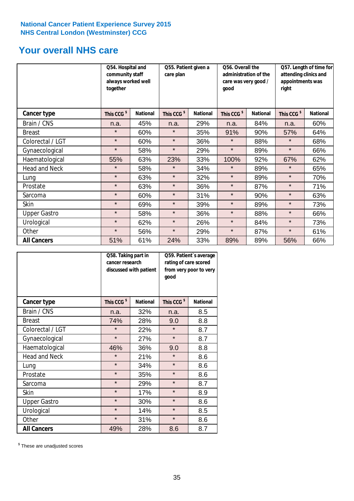# **Your overall NHS care**

|                      | Q54. Hospital and<br>community staff<br>always worked well<br>together |                 | Q55. Patient given a<br>care plan |                 | Q56. Overall the<br>administration of the<br>care was very good /<br>qood |                 | Q57. Length of time for<br>attending clinics and<br>appointments was<br>right |                 |
|----------------------|------------------------------------------------------------------------|-----------------|-----------------------------------|-----------------|---------------------------------------------------------------------------|-----------------|-------------------------------------------------------------------------------|-----------------|
| Cancer type          | This CCG <sup>\$</sup>                                                 | <b>National</b> | This CCG <sup>\$</sup>            | <b>National</b> | This CCG <sup>\$</sup>                                                    | <b>National</b> | This CCG <sup>\$</sup>                                                        | <b>National</b> |
| Brain / CNS          | n.a.                                                                   | 45%             | n.a.                              | 29%             | n.a.                                                                      | 84%             | n.a.                                                                          | 60%             |
| <b>Breast</b>        | $\star$                                                                | 60%             | $\star$                           | 35%             | 91%                                                                       | 90%             | 57%                                                                           | 64%             |
| Colorectal / LGT     | $\star$                                                                | 60%             | $\star$                           | 36%             | $\star$                                                                   | 88%             | $\star$                                                                       | 68%             |
| Gynaecological       | $\star$                                                                | 58%             | $\star$                           | 29%             | $\star$                                                                   | 89%             | $\star$                                                                       | 66%             |
| Haematological       | 55%                                                                    | 63%             | 23%                               | 33%             | 100%                                                                      | 92%             | 67%                                                                           | 62%             |
| <b>Head and Neck</b> | $\star$                                                                | 58%             | $\star$                           | 34%             | $\star$                                                                   | 89%             | $\star$                                                                       | 65%             |
| Lung                 | $\star$                                                                | 63%             | $\star$                           | 32%             | $\star$                                                                   | 89%             | $\star$                                                                       | 70%             |
| Prostate             | $\star$                                                                | 63%             | $\star$                           | 36%             | $\star$                                                                   | 87%             | $\star$                                                                       | 71%             |
| Sarcoma              | $\star$                                                                | 60%             | $\star$                           | 31%             | $\star$                                                                   | 90%             | $\star$                                                                       | 63%             |
| Skin                 | $\star$                                                                | 69%             | $\star$                           | 39%             | $\star$                                                                   | 89%             | $\star$                                                                       | 73%             |
| <b>Upper Gastro</b>  | $\star$                                                                | 58%             | $\star$                           | 36%             | $\star$                                                                   | 88%             | $\star$                                                                       | 66%             |
| Urological           | $\star$                                                                | 62%             | $\star$                           | 26%             | $\star$                                                                   | 84%             | $\star$                                                                       | 73%             |
| Other                | $\star$                                                                | 56%             | $\star$                           | 29%             | $\star$                                                                   | 87%             | $\star$                                                                       | 61%             |
| <b>All Cancers</b>   | 51%                                                                    | 61%             | 24%                               | 33%             | 89%                                                                       | 89%             | 56%                                                                           | 66%             |

|                      | Q58. Taking part in<br>cancer research | discussed with patient | Q59. Patient's average<br>rating of care scored<br>from very poor to very<br>good |                 |  |
|----------------------|----------------------------------------|------------------------|-----------------------------------------------------------------------------------|-----------------|--|
| <b>Cancer type</b>   | This CCG <sup>\$</sup>                 | <b>National</b>        | This CCG <sup>\$</sup>                                                            | <b>National</b> |  |
| Brain / CNS          | n.a.                                   | 32%                    | n.a.                                                                              | 8.5             |  |
| <b>Breast</b>        | 74%                                    | 28%                    | 9.0                                                                               | 8.8             |  |
| Colorectal / LGT     | $\star$                                | 22%                    | $\star$                                                                           | 8.7             |  |
| Gynaecological       | $\star$                                | 27%                    | $\star$                                                                           | 8.7             |  |
| Haematological       | 46%                                    | 36%                    | 9.0                                                                               | 8.8             |  |
| <b>Head and Neck</b> | $\star$                                | 21%                    | $\star$                                                                           | 8.6             |  |
| Lung                 | $\star$                                | 34%                    | $\star$                                                                           | 8.6             |  |
| Prostate             | $\star$                                | 35%                    | $\star$                                                                           | 8.6             |  |
| Sarcoma              | $\star$                                | 29%                    | $\star$                                                                           | 8.7             |  |
| <b>Skin</b>          | $\star$                                | 17%                    | $\star$                                                                           | 8.9             |  |
| <b>Upper Gastro</b>  | $\star$                                | 30%                    | $\star$                                                                           | 8.6             |  |
| Urological           | $\star$                                | 14%                    | $\star$                                                                           | 8.5             |  |
| Other                | $\star$                                | 31%                    | $\star$                                                                           | 8.6             |  |
| <b>All Cancers</b>   | 49%                                    | 28%                    | 8.6                                                                               | 8.7             |  |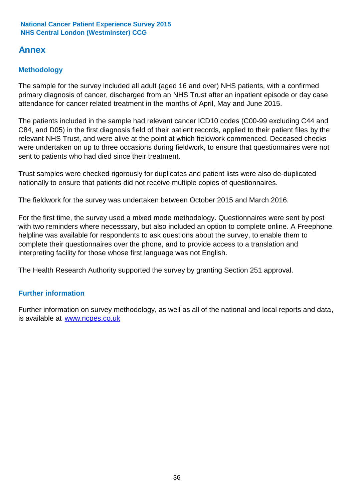# **Annex**

# **Methodology**

The sample for the survey included all adult (aged 16 and over) NHS patients, with a confirmed primary diagnosis of cancer, discharged from an NHS Trust after an inpatient episode or day case attendance for cancer related treatment in the months of April, May and June 2015.

The patients included in the sample had relevant cancer ICD10 codes (C00-99 excluding C44 and C84, and D05) in the first diagnosis field of their patient records, applied to their patient files by the relevant NHS Trust, and were alive at the point at which fieldwork commenced. Deceased checks were undertaken on up to three occasions during fieldwork, to ensure that questionnaires were not sent to patients who had died since their treatment.

Trust samples were checked rigorously for duplicates and patient lists were also de-duplicated nationally to ensure that patients did not receive multiple copies of questionnaires.

The fieldwork for the survey was undertaken between October 2015 and March 2016.

For the first time, the survey used a mixed mode methodology. Questionnaires were sent by post with two reminders where necesssary, but also included an option to complete online. A Freephone helpline was available for respondents to ask questions about the survey, to enable them to complete their questionnaires over the phone, and to provide access to a translation and interpreting facility for those whose first language was not English.

The Health Research Authority supported the survey by granting Section 251 approval.

# **Further information**

Further information on survey methodology, as well as all of the national and local reports and data, is available at www.ncpes.co.uk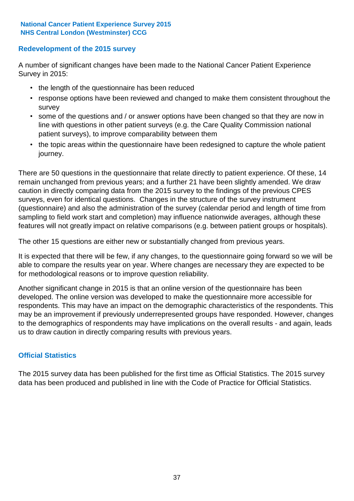# **Redevelopment of the 2015 survey**

A number of significant changes have been made to the National Cancer Patient Experience Survey in 2015:

- the length of the questionnaire has been reduced
- response options have been reviewed and changed to make them consistent throughout the survey
- some of the questions and / or answer options have been changed so that they are now in line with questions in other patient surveys (e.g. the Care Quality Commission national patient surveys), to improve comparability between them
- the topic areas within the questionnaire have been redesigned to capture the whole patient journey.

There are 50 questions in the questionnaire that relate directly to patient experience. Of these, 14 remain unchanged from previous years; and a further 21 have been slightly amended. We draw caution in directly comparing data from the 2015 survey to the findings of the previous CPES surveys, even for identical questions. Changes in the structure of the survey instrument (questionnaire) and also the administration of the survey (calendar period and length of time from sampling to field work start and completion) may influence nationwide averages, although these features will not greatly impact on relative comparisons (e.g. between patient groups or hospitals).

The other 15 questions are either new or substantially changed from previous years.

It is expected that there will be few, if any changes, to the questionnaire going forward so we will be able to compare the results year on year. Where changes are necessary they are expected to be for methodological reasons or to improve question reliability.

Another significant change in 2015 is that an online version of the questionnaire has been developed. The online version was developed to make the questionnaire more accessible for respondents. This may have an impact on the demographic characteristics of the respondents. This may be an improvement if previously underrepresented groups have responded. However, changes to the demographics of respondents may have implications on the overall results - and again, leads us to draw caution in directly comparing results with previous years.

### **Official Statistics**

The 2015 survey data has been published for the first time as Official Statistics. The 2015 survey data has been produced and published in line with the Code of Practice for Official Statistics.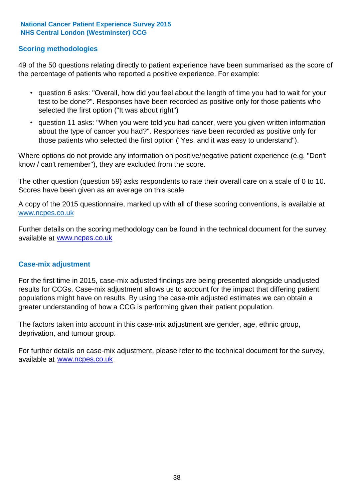### **Scoring methodologies**

49 of the 50 questions relating directly to patient experience have been summarised as the score of the percentage of patients who reported a positive experience. For example:

- question 6 asks: "Overall, how did you feel about the length of time you had to wait for your test to be done?". Responses have been recorded as positive only for those patients who selected the first option ("It was about right")
- question 11 asks: "When you were told you had cancer, were you given written information about the type of cancer you had?". Responses have been recorded as positive only for those patients who selected the first option ("Yes, and it was easy to understand").

Where options do not provide any information on positive/negative patient experience (e.g. "Don't know / can't remember"), they are excluded from the score.

The other question (question 59) asks respondents to rate their overall care on a scale of 0 to 10. Scores have been given as an average on this scale.

A copy of the 2015 questionnaire, marked up with all of these scoring conventions, is available at www.ncpes.co.uk

Further details on the scoring methodology can be found in the technical document for the survey, available at <u>www.ncpes.co.uk</u>

#### **Case-mix adjustment**

For the first time in 2015, case-mix adjusted findings are being presented alongside unadjusted results for CCGs. Case-mix adjustment allows us to account for the impact that differing patient populations might have on results. By using the case-mix adjusted estimates we can obtain a greater understanding of how a CCG is performing given their patient population.

The factors taken into account in this case-mix adjustment are gender, age, ethnic group, deprivation, and tumour group.

For further details on case-mix adjustment, please refer to the technical document for the survey, available at www.ncpes.co.uk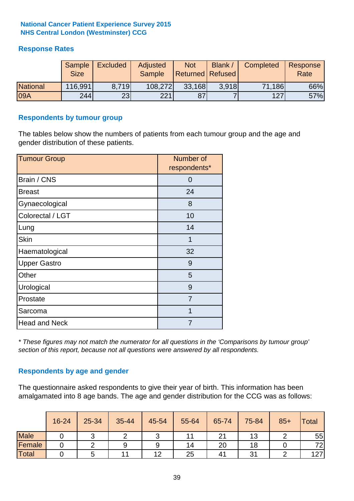# **Response Rates**

|                 | Sample<br><b>Size</b> | <b>Excluded</b> | Adjusted<br><b>Sample</b> | <b>Not</b><br>Returned Refused | Blank / | Completed | Response<br>Rate |
|-----------------|-----------------------|-----------------|---------------------------|--------------------------------|---------|-----------|------------------|
| <b>National</b> | 116,991               | 8.719           | 108,272                   | 33,168                         | 3.918   | 71,186    | 66%              |
| 09A             | 244                   | 23 <sub>l</sub> | 221                       | 87                             |         | 127       | 57%              |

#### **Respondents by tumour group**

The tables below show the numbers of patients from each tumour group and the age and gender distribution of these patients.

| <b>Tumour Group</b>  | Number of<br>respondents* |
|----------------------|---------------------------|
| Brain / CNS          | O                         |
| <b>Breast</b>        | 24                        |
| Gynaecological       | 8                         |
| Colorectal / LGT     | 10                        |
| Lung                 | 14                        |
| <b>Skin</b>          | 1                         |
| Haematological       | 32                        |
| <b>Upper Gastro</b>  | 9                         |
| Other                | 5                         |
| Urological           | 9                         |
| Prostate             | 7                         |
| Sarcoma              | 1                         |
| <b>Head and Neck</b> |                           |

*\* These figures may not match the numerator for all questions in the 'Comparisons by tumour group' section of this report, because not all questions were answered by all respondents.*

### **Respondents by age and gender**

The questionnaire asked respondents to give their year of birth. This information has been amalgamated into 8 age bands. The age and gender distribution for the CCG was as follows:

|             | 16-24 | 25-34 | 35-44 | 45-54 | 55-64 | 65-74              | 75-84 | $85+$ | <b>Total</b> |
|-------------|-------|-------|-------|-------|-------|--------------------|-------|-------|--------------|
| <b>Male</b> |       |       |       | ັ     |       | $\sim$<br>$\angle$ | 13    |       | 55           |
| Female      |       |       | 9     | 9     | 14    | 20                 | 18    |       | 72           |
| Total       |       |       | ا ا   | 12    | 25    | 4 <sup>1</sup>     | ົາ    |       | 127          |